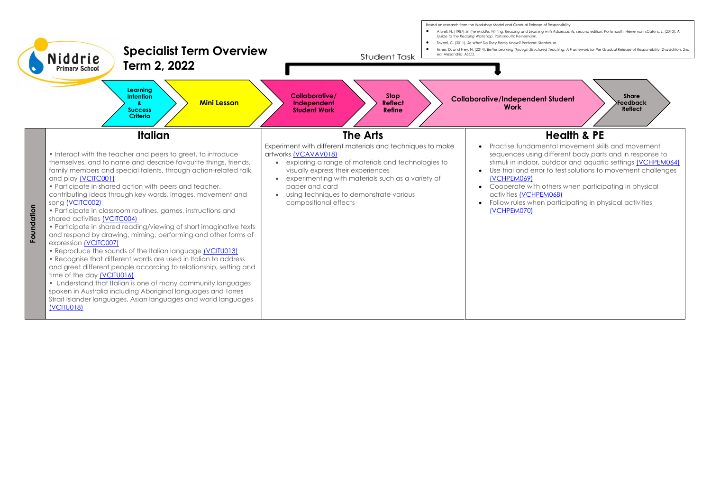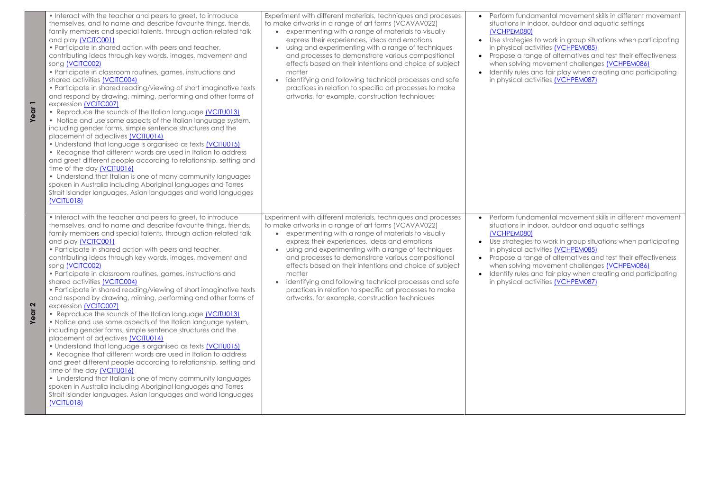**Year 1**

• Use strategies to work in group situations when participating in physical activities [\(VCHPEM085\)](https://victoriancurriculum.vcaa.vic.edu.au/Curriculum/ContentDescription/VCHPEM085) ge of alternatives and test their effectiveness o<br>movement challenges <u>(VCHPEM086)</u>  $\frac{1}{2}$  ind fair play when creating and participating ivities [\(VCHPEM087\)](https://victoriancurriculum.vcaa.vic.edu.au/Curriculum/ContentDescription/VCHPEM087)

> mental movement skills in different movement door, outdoor and aquatic settings

- to work in group situations when participating ivities <u>(VCHPEM085)</u>
- ge of alternatives and test their effectiveness w<br>movement challenges <u>(VCHPEM086)</u>
- and fair play when creating and participating ivities [\(VCHPEM087\)](https://victoriancurriculum.vcaa.vic.edu.au/Curriculum/ContentDescription/VCHPEM087)

| • Interact with the teacher and peers to greet, to introduce<br>themselves, and to name and describe favourite things, friends,<br>family members and special talents, through action-related talk<br>and play (VCITC001)<br>• Participate in shared action with peers and teacher,<br>contributing ideas through key words, images, movement and<br>song (VCITC002)<br>• Participate in classroom routines, games, instructions and<br>shared activities (VCITC004)<br>• Participate in shared reading/viewing of short imaginative texts<br>and respond by drawing, miming, performing and other forms of<br>expression (VCITC007)<br>• Reproduce the sounds of the Italian language (VCITU013)<br>• Notice and use some aspects of the Italian language system,<br>including gender forms, simple sentence structures and the<br>placement of adjectives (VCITU014)<br>• Understand that language is organised as texts (VCITU015)<br>• Recognise that different words are used in Italian to address<br>and greet different people according to relationship, setting and<br>time of the day (VCITU016)<br>• Understand that Italian is one of many community languages<br>spoken in Australia including Aboriginal languages and Torres<br>Strait Islander languages, Asian languages and world languages<br>(VCITU018)               | Experiment with different materials, techniques and processes<br>to make artworks in a range of art forms (VCAVAV022)<br>experimenting with a range of materials to visually<br>express their experiences, ideas and emotions<br>using and experimenting with a range of techniques<br>and processes to demonstrate various compositional<br>effects based on their intentions and choice of subject<br>matter<br>identifying and following technical processes and safe<br>practices in relation to specific art processes to make<br>artworks, for example, construction techniques | Perform fundar<br>$\bullet$<br>situations in ind<br>(VCHPEM080)<br>Use strategies t<br>$\bullet$<br>in physical acti<br>Propose a rang<br>$\bullet$<br>when solving m<br>Identify rules ar<br>$\bullet$<br>in physical acti |
|--------------------------------------------------------------------------------------------------------------------------------------------------------------------------------------------------------------------------------------------------------------------------------------------------------------------------------------------------------------------------------------------------------------------------------------------------------------------------------------------------------------------------------------------------------------------------------------------------------------------------------------------------------------------------------------------------------------------------------------------------------------------------------------------------------------------------------------------------------------------------------------------------------------------------------------------------------------------------------------------------------------------------------------------------------------------------------------------------------------------------------------------------------------------------------------------------------------------------------------------------------------------------------------------------------------------------------------------|---------------------------------------------------------------------------------------------------------------------------------------------------------------------------------------------------------------------------------------------------------------------------------------------------------------------------------------------------------------------------------------------------------------------------------------------------------------------------------------------------------------------------------------------------------------------------------------|-----------------------------------------------------------------------------------------------------------------------------------------------------------------------------------------------------------------------------|
| • Interact with the teacher and peers to greet, to introduce<br>themselves, and to name and describe favourite things, friends,<br>family members and special talents, through action-related talk<br>and play (VCITC001)<br>• Participate in shared action with peers and teacher,<br>contributing ideas through key words, images, movement and<br>song (VCITC002)<br>• Participate in classroom routines, games, instructions and<br>shared activities (VCITC004)<br>• Participate in shared reading/viewing of short imaginative texts<br>and respond by drawing, miming, performing and other forms of<br>expression (VCITC007)<br>• Reproduce the sounds of the Italian language (VCITU013)<br>• Notice and use some aspects of the Italian language system,<br>including gender forms, simple sentence structures and the<br>placement of adjectives (VCITU014)<br>. Understand that language is organised as texts <i>[VCITU015]</i><br>• Recognise that different words are used in Italian to address<br>and greet different people according to relationship, setting and<br>time of the day (VCITU016)<br>• Understand that Italian is one of many community languages<br>spoken in Australia including Aboriginal languages and Torres<br>Strait Islander languages, Asian languages and world languages<br><b>(VCITU018)</b> | Experiment with different materials, techniques and processes<br>to make artworks in a range of art forms (VCAVAV022)<br>experimenting with a range of materials to visually<br>express their experiences, ideas and emotions<br>using and experimenting with a range of techniques<br>and processes to demonstrate various compositional<br>effects based on their intentions and choice of subject<br>matter<br>identifying and following technical processes and safe<br>practices in relation to specific art processes to make<br>artworks, for example, construction techniques | Perform fundar<br>$\bullet$<br>situations in ind<br>(VCHPEM080)<br>Use strategies t<br>$\bullet$<br>in physical acti<br>Propose a rang<br>$\bullet$<br>when solving m<br>Identify rules ar<br>$\bullet$<br>in physical acti |

**Year 2**

mental movement skills in different movement stoor, outdoor and aquatic settings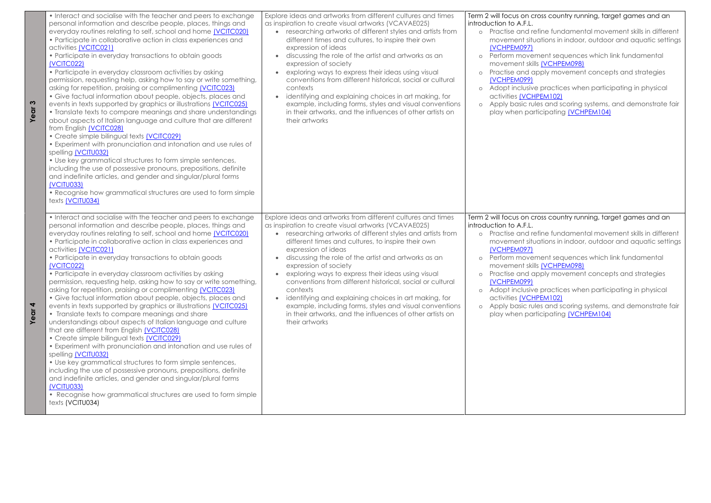**Year 3**

| • Interact and socialise with the teacher and peers to exchange<br>personal information and describe people, places, things and<br>everyday routines relating to self, school and home (VCITC020)<br>• Participate in collaborative action in class experiences and<br>activities (VCITC021)<br>• Participate in everyday transactions to obtain goods<br>(VCITC022)<br>• Participate in everyday classroom activities by asking<br>permission, requesting help, asking how to say or write something,<br>asking for repetition, praising or complimenting <i>[VCITC023]</i><br>• Give factual information about people, objects, places and<br>events in texts supported by graphics or illustrations (VCITC025)<br>• Translate texts to compare meanings and share understandings<br>about aspects of Italian language and culture that are different<br>from English (VCITC028)<br>• Create simple bilingual texts (VCITC029)<br>• Experiment with pronunciation and intonation and use rules of<br>spelling (VCITU032)<br>• Use key grammatical structures to form simple sentences,<br>including the use of possessive pronouns, prepositions, definite<br>and indefinite articles, and gender and singular/plural forms<br>(VCITU033)<br>• Recognise how grammatical structures are used to form simple<br>texts (VCITU034) | Explore ideas and artworks from different cultures and times<br>as inspiration to create visual artworks (VCAVAE025)<br>researching artworks of different styles and artists from<br>different times and cultures, to inspire their own<br>expression of ideas<br>discussing the role of the artist and artworks as an<br>expression of society<br>exploring ways to express their ideas using visual<br>conventions from different historical, social or cultural<br>contexts<br>identifying and explaining choices in art making, for<br>example, including forms, styles and visual conventions<br>in their artworks, and the influences of other artists on<br>their artworks                                        | Term 2 will focus on cro<br>introduction to A.F.L.<br>Practise and ret<br>$\circ$<br>movement situd<br>(VCHPEM097)<br>Perform movem<br>$\circ$<br>movement skills<br>Practise and ap<br>$\circ$<br>(VCHPEM099)<br>Adopt inclusive<br>$\circ$<br>activities <b>(VCHF</b><br>Apply basic rule<br>$\circ$<br>play when parti |
|-----------------------------------------------------------------------------------------------------------------------------------------------------------------------------------------------------------------------------------------------------------------------------------------------------------------------------------------------------------------------------------------------------------------------------------------------------------------------------------------------------------------------------------------------------------------------------------------------------------------------------------------------------------------------------------------------------------------------------------------------------------------------------------------------------------------------------------------------------------------------------------------------------------------------------------------------------------------------------------------------------------------------------------------------------------------------------------------------------------------------------------------------------------------------------------------------------------------------------------------------------------------------------------------------------------------------------------|--------------------------------------------------------------------------------------------------------------------------------------------------------------------------------------------------------------------------------------------------------------------------------------------------------------------------------------------------------------------------------------------------------------------------------------------------------------------------------------------------------------------------------------------------------------------------------------------------------------------------------------------------------------------------------------------------------------------------|---------------------------------------------------------------------------------------------------------------------------------------------------------------------------------------------------------------------------------------------------------------------------------------------------------------------------|
| • Interact and socialise with the teacher and peers to exchange<br>personal information and describe people, places, things and<br>everyday routines relating to self, school and home <i>[VCITC020]</i><br>• Participate in collaborative action in class experiences and<br>activities (VCITC021)<br>• Participate in everyday transactions to obtain goods<br>(VCITC022)<br>• Participate in everyday classroom activities by asking<br>permission, requesting help, asking how to say or write something,<br>asking for repetition, praising or complimenting (VCITC023)<br>• Give factual information about people, objects, places and<br>events in texts supported by graphics or illustrations (VCITC025)<br>• Translate texts to compare meanings and share<br>understandings about aspects of Italian language and culture<br>that are different from English (VCITC028)<br>• Create simple bilingual texts (VCITC029)<br>• Experiment with pronunciation and intonation and use rules of<br>spelling (VCITU032)<br>• Use key grammatical structures to form simple sentences,<br>including the use of possessive pronouns, prepositions, definite<br>and indefinite articles, and gender and singular/plural forms<br>(VCITU033)<br>• Recognise how grammatical structures are used to form simple<br>texts (VCITU034) | Explore ideas and artworks from different cultures and times<br>as inspiration to create visual artworks (VCAVAE025)<br>researching artworks of different styles and artists from<br>$\bullet$<br>different times and cultures, to inspire their own<br>expression of ideas<br>discussing the role of the artist and artworks as an<br>expression of society<br>exploring ways to express their ideas using visual<br>$\bullet$<br>conventions from different historical, social or cultural<br>contexts<br>identifying and explaining choices in art making, for<br>$\bullet$<br>example, including forms, styles and visual conventions<br>in their artworks, and the influences of other artists on<br>their artworks | Term 2 will focus on cro<br>introduction to A.F.L.<br>Practise and ret<br>$\circ$<br>movement situd<br>(VCHPEM097)<br>Perform movem<br>$\circ$<br>movement skills<br>Practise and ap<br>$\circ$<br>(VCHPEM099)<br>Adopt inclusive<br>$\circ$<br>activities <b>(VCHF</b><br>Apply basic rule<br>$\circ$<br>play when parti |

**Year 4**

## toss country running, target games and an

fine fundamental movement skills in different ations in indoor, outdoor and aquatic settings

nent sequences which link fundamental (VCHPEM098) pply movement concepts and strategies

practices when participating in physical  $PEM102$ 

es and scoring systems, and demonstrate fair ticipating [\(VCHPEM104\)](https://victoriancurriculum.vcaa.vic.edu.au/Curriculum/ContentDescription/VCHPEM104)

## toss country running, target games and an

fine fundamental movement skills in different ations in indoor, outdoor and aquatic settings

nent sequences which link fundamental MOCHPEM098) pply movement concepts and strategies

practices when participating in physical PEM102)

es and scoring systems, and demonstrate fair ticipating [\(VCHPEM104\)](https://victoriancurriculum.vcaa.vic.edu.au/Curriculum/ContentDescription/VCHPEM104)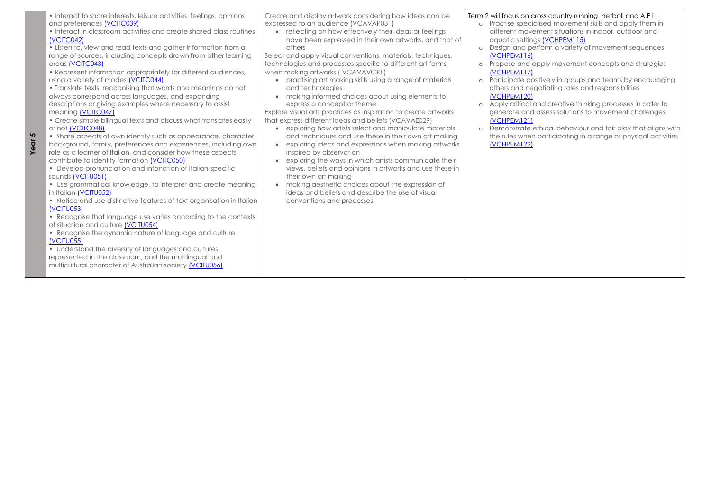**Year 5**

## cross country running, netball and A.F.L. ialised movement skills and apply them in  $\alpha$  vement situations in indoor, outdoor and ngs <mark>(VCHPEM115)</mark>

o design and perform a variety of movement sequences

apply movement concepts and strategies

ositively in groups and teams by encouraging egotiating roles and responsibilities

 $\vec{A}$  and creative thinking processes in order to id assess solutions to movement challenges

| • Interact to share interests, leisure activities, feelings, opinions<br>and preferences (VCITC039)<br>• Interact in classroom activities and create shared class routines<br>(VCITC042)<br>• Listen to, view and read texts and gather information from a<br>range of sources, including concepts drawn from other learning<br>areas (VCITC043)<br>• Represent information appropriately for different audiences,<br>using a variety of modes <i>[VCITC044]</i><br>• Translate texts, recognising that words and meanings do not<br>always correspond across languages, and expanding<br>descriptions or giving examples where necessary to assist<br>meaning (VCITC047)<br>• Create simple bilingual texts and discuss what translates easily<br>or not (VCITC048)<br>• Share aspects of own identity such as appearance, character,<br>background, family, preferences and experiences, including own<br>role as a learner of Italian, and consider how these aspects<br>contribute to identity formation (VCITC050)<br>• Develop pronunciation and intonation of Italian-specific<br>sounds (VCITU051)<br>• Use grammatical knowledge, to interpret and create meaning<br>in Italian (VCITU052)<br>• Notice and use distinctive features of text organisation in Italian<br>(VCITU053)<br>• Recognise that language use varies according to the contexts<br>of situation and culture (VCITU054)<br>• Recognise the dynamic nature of language and culture<br>(VCITU055)<br>• Understand the diversity of languages and cultures<br>represented in the classroom, and the multilingual and<br>multicultural character of Australian society (VCITU056) | Create and display artwork considering how ideas can be<br>expressed to an audience (VCAVAP031)<br>reflecting on how effectively their ideas or feelings<br>$\bullet$<br>have been expressed in their own artworks, and that of<br>others<br>Select and apply visual conventions, materials, techniques,<br>technologies and processes specific to different art forms<br>when making artworks (VCAVAV030)<br>practising art making skills using a range of materials<br>and technologies<br>making informed choices about using elements to<br>express a concept or theme<br>Explore visual arts practices as inspiration to create artworks<br>that express different ideas and beliefs (VCAVAE029)<br>exploring how artists select and manipulate materials<br>and techniques and use these in their own art making<br>exploring ideas and expressions when making artworks<br>inspired by observation<br>exploring the ways in which artists communicate their<br>views, beliefs and opinions in artworks and use these in<br>their own art making<br>making aesthetic choices about the expression of<br>ideas and beliefs and describe the use of visual<br>conventions and processes | $\circ$<br>$\circ$<br>$\circ$<br>$\circ$<br>$\circ$<br>$\circ$ | Term 2 will focus on a<br>Practise speci<br>different mov<br>aquatic settin<br>Design and p<br>(VCHPEM116)<br>Propose and<br>(VCHPEM117)<br>Participate po<br>others and ne<br>(VCHPEM120)<br>Apply critical<br>generate and<br>(VCHPEM121)<br>Demonstrate<br>the rules wher<br>(VCHPEM122) |
|-----------------------------------------------------------------------------------------------------------------------------------------------------------------------------------------------------------------------------------------------------------------------------------------------------------------------------------------------------------------------------------------------------------------------------------------------------------------------------------------------------------------------------------------------------------------------------------------------------------------------------------------------------------------------------------------------------------------------------------------------------------------------------------------------------------------------------------------------------------------------------------------------------------------------------------------------------------------------------------------------------------------------------------------------------------------------------------------------------------------------------------------------------------------------------------------------------------------------------------------------------------------------------------------------------------------------------------------------------------------------------------------------------------------------------------------------------------------------------------------------------------------------------------------------------------------------------------------------------------------------------------------------------------|---------------------------------------------------------------------------------------------------------------------------------------------------------------------------------------------------------------------------------------------------------------------------------------------------------------------------------------------------------------------------------------------------------------------------------------------------------------------------------------------------------------------------------------------------------------------------------------------------------------------------------------------------------------------------------------------------------------------------------------------------------------------------------------------------------------------------------------------------------------------------------------------------------------------------------------------------------------------------------------------------------------------------------------------------------------------------------------------------------------------------------------------------------------------------------------------|----------------------------------------------------------------|---------------------------------------------------------------------------------------------------------------------------------------------------------------------------------------------------------------------------------------------------------------------------------------------|
|                                                                                                                                                                                                                                                                                                                                                                                                                                                                                                                                                                                                                                                                                                                                                                                                                                                                                                                                                                                                                                                                                                                                                                                                                                                                                                                                                                                                                                                                                                                                                                                                                                                           |                                                                                                                                                                                                                                                                                                                                                                                                                                                                                                                                                                                                                                                                                                                                                                                                                                                                                                                                                                                                                                                                                                                                                                                             |                                                                |                                                                                                                                                                                                                                                                                             |

o Demonstrate ethical behaviour and fair play that aligns with the rules when participating in a range of physical activities